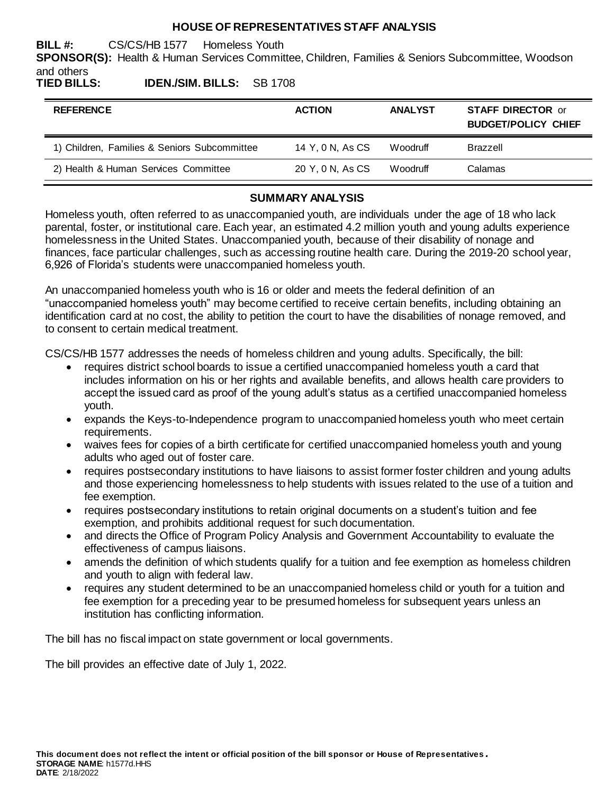## **HOUSE OF REPRESENTATIVES STAFF ANALYSIS**

**BILL #:** CS/CS/HB 1577 Homeless Youth

**SPONSOR(S):** Health & Human Services Committee, Children, Families & Seniors Subcommittee, Woodson and others

**TIED BILLS: IDEN./SIM. BILLS:** SB 1708

| <b>REFERENCE</b>                             | <b>ACTION</b>    | <b>ANALYST</b> | <b>STAFF DIRECTOR or</b><br><b>BUDGET/POLICY CHIEF</b> |
|----------------------------------------------|------------------|----------------|--------------------------------------------------------|
| 1) Children, Families & Seniors Subcommittee | 14 Y, 0 N, As CS | Woodruff       | <b>Brazzell</b>                                        |
| 2) Health & Human Services Committee         | 20 Y, 0 N, As CS | Woodruff       | Calamas                                                |

## **SUMMARY ANALYSIS**

Homeless youth, often referred to as unaccompanied youth, are individuals under the age of 18 who lack parental, foster, or institutional care. Each year, an estimated 4.2 million youth and young adults experience homelessness in the United States. Unaccompanied youth, because of their disability of nonage and finances, face particular challenges, such as accessing routine health care. During the 2019-20 school year, 6,926 of Florida's students were unaccompanied homeless youth.

An unaccompanied homeless youth who is 16 or older and meets the federal definition of an "unaccompanied homeless youth" may become certified to receive certain benefits, including obtaining an identification card at no cost, the ability to petition the court to have the disabilities of nonage removed, and to consent to certain medical treatment.

CS/CS/HB 1577 addresses the needs of homeless children and young adults. Specifically, the bill:

- requires district school boards to issue a certified unaccompanied homeless youth a card that includes information on his or her rights and available benefits, and allows health care providers to accept the issued card as proof of the young adult's status as a certified unaccompanied homeless youth.
- expands the Keys-to-Independence program to unaccompanied homeless youth who meet certain requirements.
- waives fees for copies of a birth certificate for certified unaccompanied homeless youth and young adults who aged out of foster care.
- requires postsecondary institutions to have liaisons to assist former foster children and young adults and those experiencing homelessness to help students with issues related to the use of a tuition and fee exemption.
- requires postsecondary institutions to retain original documents on a student's tuition and fee exemption, and prohibits additional request for such documentation.
- and directs the Office of Program Policy Analysis and Government Accountability to evaluate the effectiveness of campus liaisons.
- amends the definition of which students qualify for a tuition and fee exemption as homeless children and youth to align with federal law.
- requires any student determined to be an unaccompanied homeless child or youth for a tuition and fee exemption for a preceding year to be presumed homeless for subsequent years unless an institution has conflicting information.

The bill has no fiscal impact on state government or local governments.

The bill provides an effective date of July 1, 2022.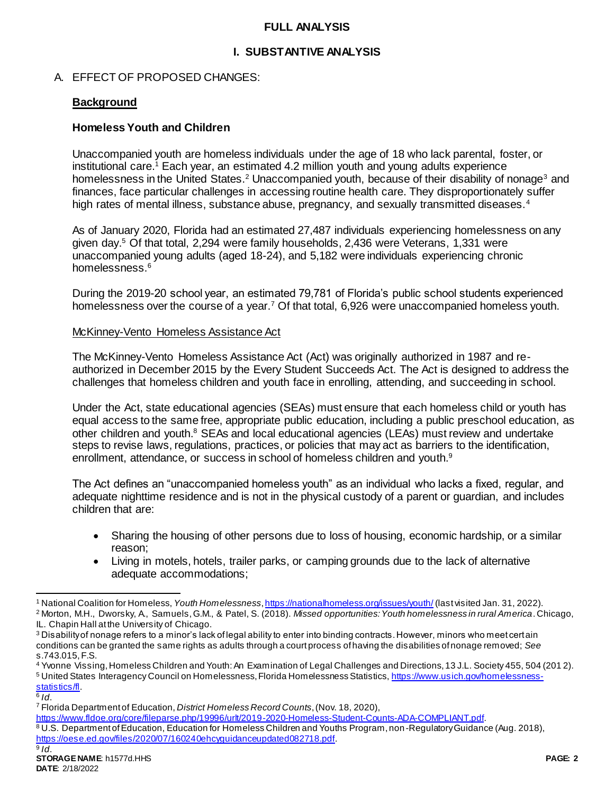## **FULL ANALYSIS**

## **I. SUBSTANTIVE ANALYSIS**

## A. EFFECT OF PROPOSED CHANGES:

## **Background**

## **Homeless Youth and Children**

Unaccompanied youth are homeless individuals under the age of 18 who lack parental, foster, or institutional care.<sup>1</sup> Each year, an estimated 4.2 million youth and young adults experience homelessness in the United States.<sup>2</sup> Unaccompanied youth, because of their disability of nonage<sup>3</sup> and finances, face particular challenges in accessing routine health care. They disproportionately suffer high rates of mental illness, substance abuse, pregnancy, and sexually transmitted diseases.<sup>4</sup>

As of January 2020, Florida had an estimated 27,487 individuals experiencing homelessness on any given day.<sup>5</sup> Of that total, 2,294 were family households, 2,436 were Veterans, 1,331 were unaccompanied young adults (aged 18-24), and 5,182 were individuals experiencing chronic homelessness.<sup>6</sup>

During the 2019-20 school year, an estimated 79,781 of Florida's public school students experienced homelessness over the course of a year.<sup>7</sup> Of that total, 6,926 were unaccompanied homeless youth.

#### McKinney-Vento Homeless Assistance Act

The McKinney-Vento Homeless Assistance Act (Act) was originally authorized in 1987 and reauthorized in December 2015 by the Every Student Succeeds Act. The Act is designed to address the challenges that homeless children and youth face in enrolling, attending, and succeeding in school.

Under the Act, state educational agencies (SEAs) must ensure that each homeless child or youth has equal access to the same free, appropriate public education, including a public preschool education, as other children and youth.<sup>8</sup> SEAs and local educational agencies (LEAs) must review and undertake steps to revise laws, regulations, practices, or policies that may act as barriers to the identification, enrollment, attendance, or success in school of homeless children and youth.<sup>9</sup>

The Act defines an "unaccompanied homeless youth" as an individual who lacks a fixed, regular, and adequate nighttime residence and is not in the physical custody of a parent or guardian, and includes children that are:

- Sharing the housing of other persons due to loss of housing, economic hardship, or a similar reason;
- Living in motels, hotels, trailer parks, or camping grounds due to the lack of alternative adequate accommodations;

 $\overline{a}$ 

[https://www.fldoe.org/core/fileparse.php/19996/urlt/2019-2020-Homeless-Student-Counts-ADA-COMPLIANT.pdf.](https://www.fldoe.org/core/fileparse.php/19996/urlt/2019-2020-Homeless-Student-Counts-ADA-COMPLIANT.pdf)

<sup>1</sup> National Coalition for Homeless, *Youth Homelessness*[, https://nationalhomeless.org/issues/youth/](https://nationalhomeless.org/issues/youth/) (last visited Jan. 31, 2022). <sup>2</sup> Morton, M.H., Dworsky, A., Samuels, G.M., & Patel, S. (2018). *Missed opportunities: Youth homelessness in rural America*. Chicago,

IL. Chapin Hall at the University of Chicago.

<sup>&</sup>lt;sup>3</sup> Disability of nonage refers to a minor's lack of legal ability to enter into binding contracts. However, minors who meet certain conditions can be granted the same rights as adults through a court process of having the disabilities of nonage removed; *See* s.743.015, F.S.

<sup>4</sup> Yvonne Vissing, Homeless Children and Youth: An Examination of Legal Challenges and Directions, 13 J.L. Society 455, 504 (201 2). <sup>5</sup> United States Interagency Council on Homelessness, Florida Homelessness Statistics[, https://www.usich.gov/homelessness](https://www.usich.gov/homelessness-statistics/fl)[statistics/fl.](https://www.usich.gov/homelessness-statistics/fl)

<sup>6</sup> *Id*.

<sup>7</sup> Florida Department of Education, *District Homeless Record Counts*, (Nov. 18, 2020),

<sup>8</sup> U.S. Department of Education, Education for Homeless Children and Youths Program, non-Regulatory Guidance (Aug. 2018), <https://oese.ed.gov/files/2020/07/160240ehcyguidanceupdated082718.pdf>.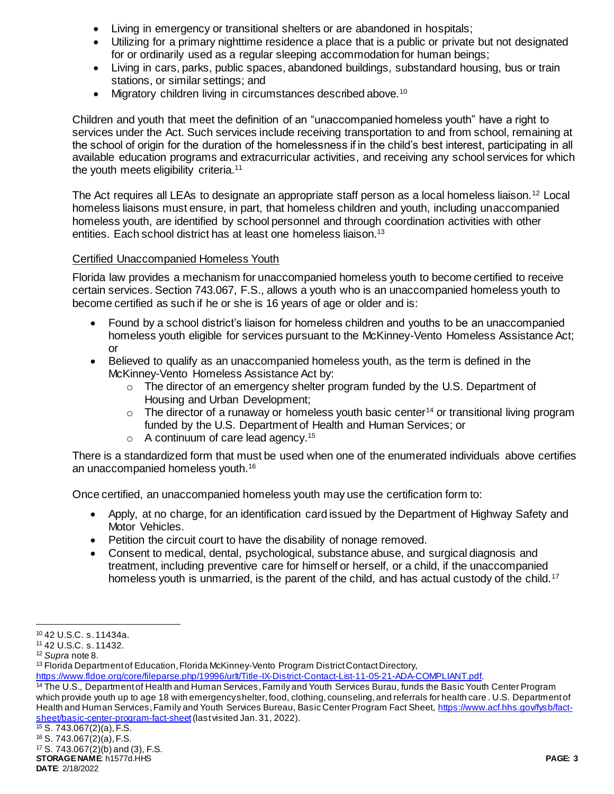- Living in emergency or transitional shelters or are abandoned in hospitals;
- Utilizing for a primary nighttime residence a place that is a public or private but not designated for or ordinarily used as a regular sleeping accommodation for human beings;
- Living in cars, parks, public spaces, abandoned buildings, substandard housing, bus or train stations, or similar settings; and
- Migratory children living in circumstances described above.<sup>10</sup>

Children and youth that meet the definition of an "unaccompanied homeless youth" have a right to services under the Act. Such services include receiving transportation to and from school, remaining at the school of origin for the duration of the homelessness if in the child's best interest, participating in all available education programs and extracurricular activities, and receiving any school services for which the youth meets eligibility criteria.<sup>11</sup>

The Act requires all LEAs to designate an appropriate staff person as a local homeless liaison.<sup>12</sup> Local homeless liaisons must ensure, in part, that homeless children and youth, including unaccompanied homeless youth, are identified by school personnel and through coordination activities with other entities. Each school district has at least one homeless liaison.<sup>13</sup>

## Certified Unaccompanied Homeless Youth

Florida law provides a mechanism for unaccompanied homeless youth to become certified to receive certain services. Section 743.067, F.S., allows a youth who is an unaccompanied homeless youth to become certified as such if he or she is 16 years of age or older and is:

- Found by a school district's liaison for homeless children and youths to be an unaccompanied homeless youth eligible for services pursuant to the McKinney-Vento Homeless Assistance Act; or
- Believed to qualify as an unaccompanied homeless youth, as the term is defined in the McKinney-Vento Homeless Assistance Act by:
	- $\circ$  The director of an emergency shelter program funded by the U.S. Department of Housing and Urban Development;
	- $\circ$  The director of a runaway or homeless youth basic center<sup>14</sup> or transitional living program funded by the U.S. Department of Health and Human Services; or
	- $\circ$  A continuum of care lead agency.<sup>15</sup>

There is a standardized form that must be used when one of the enumerated individuals above certifies an unaccompanied homeless youth.<sup>16</sup>

Once certified, an unaccompanied homeless youth may use the certification form to:

- Apply, at no charge, for an identification card issued by the Department of Highway Safety and Motor Vehicles.
- Petition the circuit court to have the disability of nonage removed.
- Consent to medical, dental, psychological, substance abuse, and surgical diagnosis and treatment, including preventive care for himself or herself, or a child, if the unaccompanied homeless youth is unmarried, is the parent of the child, and has actual custody of the child.<sup>17</sup>

**STORAGE NAME**: h1577d.HHS **PAGE: 3 DATE**: 2/18/2022 <sup>15</sup> S. 743.067(2)(a), F.S. <sup>16</sup> S. 743.067(2)(a), F.S. <sup>17</sup> S. 743.067(2)(b) and (3), F.S.

l <sup>10</sup> 42 U.S.C. s. 11434a.

<sup>11</sup> 42 U.S.C. s. 11432.

<sup>12</sup> *Supra* note 8.

<sup>&</sup>lt;sup>13</sup> Florida Department of Education, Florida McKinney-Vento Program District Contact Directory,

[https://www.fldoe.org/core/fileparse.php/19996/urlt/Title-IX-District-Contact-List-11-05-21-ADA-COMPLIANT.pdf.](https://www.fldoe.org/core/fileparse.php/19996/urlt/Title-IX-District-Contact-List-11-05-21-ADA-COMPLIANT.pdf)

<sup>&</sup>lt;sup>14</sup> The U.S., Department of Health and Human Services, Family and Youth Services Burau, funds the Basic Youth Center Program which provide youth up to age 18 with emergency shelter, food, clothing, counseling, and referrals for health care. U.S. Department of Health and Human Services, Family and Youth Services Bureau, Basic Center Program Fact Sheet[, https://www.acf.hhs.gov/fysb/fact](https://www.acf.hhs.gov/fysb/fact-sheet/basic-center-program-fact-sheet)[sheet/basic-center-program-fact-sheet](https://www.acf.hhs.gov/fysb/fact-sheet/basic-center-program-fact-sheet)(last visited Jan. 31, 2022).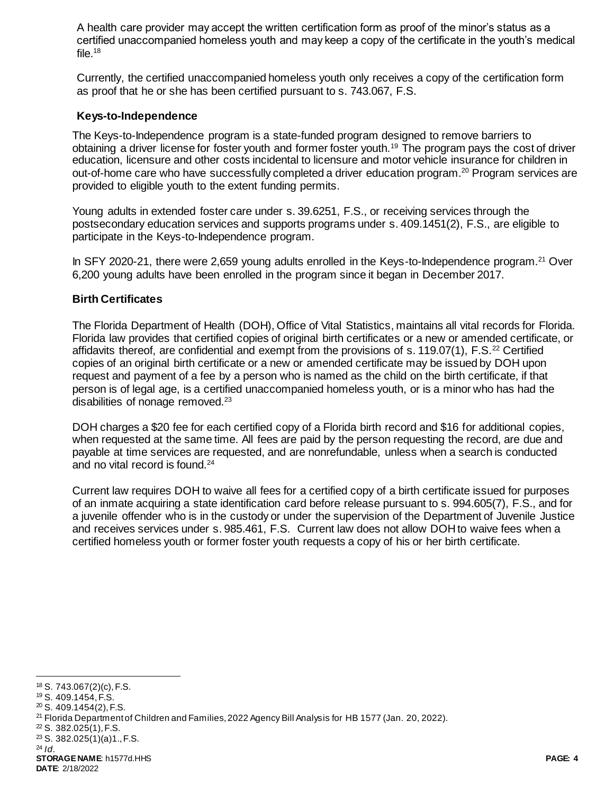A health care provider may accept the written certification form as proof of the minor's status as a certified unaccompanied homeless youth and may keep a copy of the certificate in the youth's medical file. $18$ 

Currently, the certified unaccompanied homeless youth only receives a copy of the certification form as proof that he or she has been certified pursuant to s. 743.067, F.S.

## **Keys-to-Independence**

The Keys-to-Independence program is a state-funded program designed to remove barriers to obtaining a driver license for foster youth and former foster youth.<sup>19</sup> The program pays the cost of driver education, licensure and other costs incidental to licensure and motor vehicle insurance for children in out-of-home care who have successfully completed a driver education program.<sup>20</sup> Program services are provided to eligible youth to the extent funding permits.

Young adults in extended foster care under s. 39.6251, F.S., or receiving services through the postsecondary education services and supports programs under s. 409.1451(2), F.S., are eligible to participate in the Keys-to-Independence program.

In SFY 2020-21, there were 2,659 young adults enrolled in the Keys-to-Independence program.<sup>21</sup> Over 6,200 young adults have been enrolled in the program since it began in December 2017.

## **Birth Certificates**

The Florida Department of Health (DOH), Office of Vital Statistics, maintains all vital records for Florida. Florida law provides that certified copies of original birth certificates or a new or amended certificate, or affidavits thereof, are confidential and exempt from the provisions of s. 119.07(1), F.S.<sup>22</sup> Certified copies of an original birth certificate or a new or amended certificate may be issued by DOH upon request and payment of a fee by a person who is named as the child on the birth certificate, if that person is of legal age, is a certified unaccompanied homeless youth, or is a minor who has had the disabilities of nonage removed.<sup>23</sup>

DOH charges a \$20 fee for each certified copy of a Florida birth record and \$16 for additional copies, when requested at the same time. All fees are paid by the person requesting the record, are due and payable at time services are requested, and are nonrefundable, unless when a search is conducted and no vital record is found.<sup>24</sup>

Current law requires DOH to waive all fees for a certified copy of a birth certificate issued for purposes of an inmate acquiring a state identification card before release pursuant to s. 994.605(7), F.S., and for a juvenile offender who is in the custody or under the supervision of the Department of Juvenile Justice and receives services under s. 985.461, F.S. Current law does not allow DOH to waive fees when a certified homeless youth or former foster youth requests a copy of his or her birth certificate.

**STORAGE NAME**: h1577d.HHS **PAGE: 4 DATE**: 2/18/2022

l <sup>18</sup> S. 743.067(2)(c), F.S.

<sup>19</sup> S. 409.1454, F.S.

<sup>20</sup> S. 409.1454(2), F.S.

<sup>&</sup>lt;sup>21</sup> Florida Department of Children and Families, 2022 Agency Bill Analysis for HB 1577 (Jan. 20, 2022).

<sup>22</sup> S. 382.025(1), F.S.

<sup>23</sup> S. 382.025(1)(a)1., F.S. <sup>24</sup> *Id*.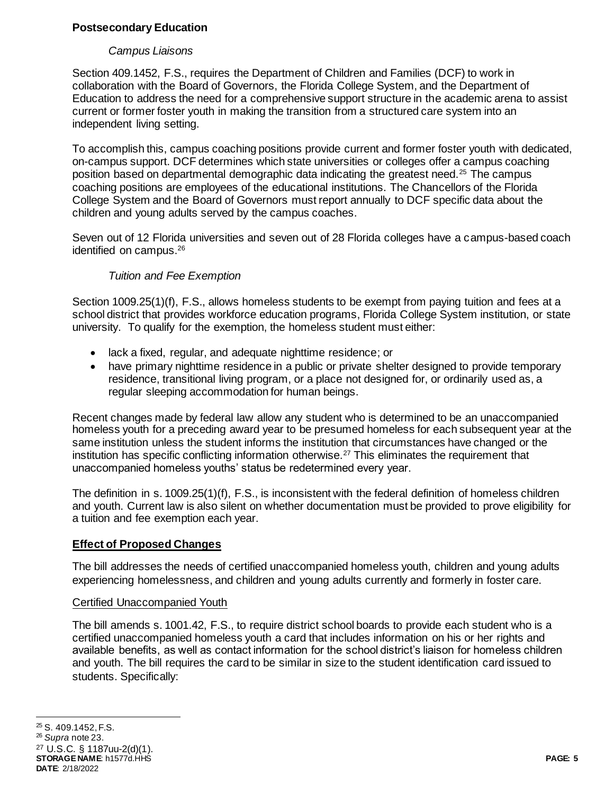## **Postsecondary Education**

## *Campus Liaisons*

Section 409.1452, F.S., requires the Department of Children and Families (DCF) to work in collaboration with the Board of Governors, the Florida College System, and the Department of Education to address the need for a comprehensive support structure in the academic arena to assist current or former foster youth in making the transition from a structured care system into an independent living setting.

To accomplish this, campus coaching positions provide current and former foster youth with dedicated, on-campus support. DCF determines which state universities or colleges offer a campus coaching position based on departmental demographic data indicating the greatest need.<sup>25</sup> The campus coaching positions are employees of the educational institutions. The Chancellors of the Florida College System and the Board of Governors must report annually to DCF specific data about the children and young adults served by the campus coaches.

Seven out of 12 Florida universities and seven out of 28 Florida colleges have a campus-based coach identified on campus.<sup>26</sup>

## *Tuition and Fee Exemption*

Section 1009.25(1)(f), F.S., allows homeless students to be exempt from paying tuition and fees at a school district that provides workforce education programs, Florida College System institution, or state university. To qualify for the exemption, the homeless student must either:

- lack a fixed, regular, and adequate nighttime residence; or
- have primary nighttime residence in a public or private shelter designed to provide temporary residence, transitional living program, or a place not designed for, or ordinarily used as, a regular sleeping accommodation for human beings.

Recent changes made by federal law allow any student who is determined to be an unaccompanied homeless youth for a preceding award year to be presumed homeless for each subsequent year at the same institution unless the student informs the institution that circumstances have changed or the institution has specific conflicting information otherwise.<sup>27</sup> This eliminates the requirement that unaccompanied homeless youths' status be redetermined every year.

The definition in s. 1009.25(1)(f), F.S., is inconsistent with the federal definition of homeless children and youth. Current law is also silent on whether documentation must be provided to prove eligibility for a tuition and fee exemption each year.

## **Effect of Proposed Changes**

The bill addresses the needs of certified unaccompanied homeless youth, children and young adults experiencing homelessness, and children and young adults currently and formerly in foster care.

## Certified Unaccompanied Youth

The bill amends s. 1001.42, F.S., to require district school boards to provide each student who is a certified unaccompanied homeless youth a card that includes information on his or her rights and available benefits, as well as contact information for the school district's liaison for homeless children and youth. The bill requires the card to be similar in size to the student identification card issued to students. Specifically:

 $\overline{a}$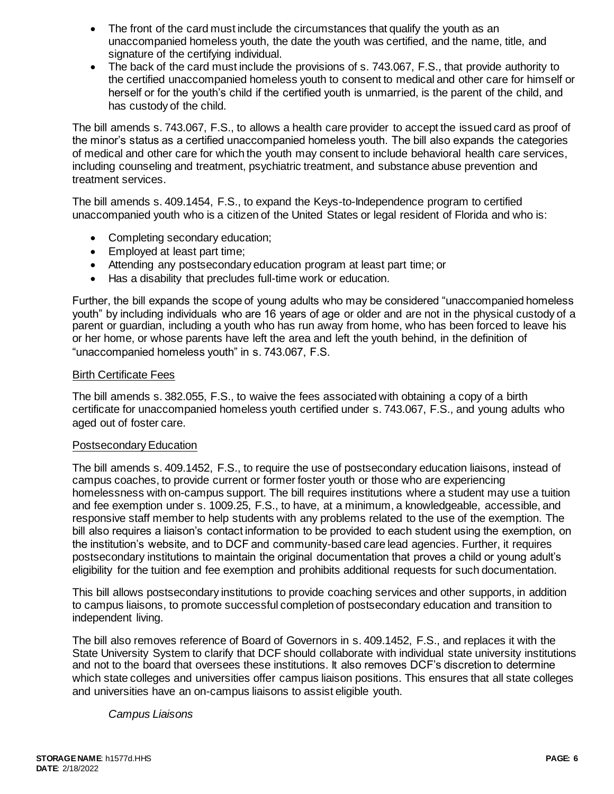- The front of the card must include the circumstances that qualify the youth as an unaccompanied homeless youth, the date the youth was certified, and the name, title, and signature of the certifying individual.
- The back of the card must include the provisions of s. 743.067, F.S., that provide authority to the certified unaccompanied homeless youth to consent to medical and other care for himself or herself or for the youth's child if the certified youth is unmarried, is the parent of the child, and has custody of the child.

The bill amends s. 743.067, F.S., to allows a health care provider to accept the issued card as proof of the minor's status as a certified unaccompanied homeless youth. The bill also expands the categories of medical and other care for which the youth may consent to include behavioral health care services, including counseling and treatment, psychiatric treatment, and substance abuse prevention and treatment services.

The bill amends s. 409.1454, F.S., to expand the Keys-to-Independence program to certified unaccompanied youth who is a citizen of the United States or legal resident of Florida and who is:

- Completing secondary education;
- Employed at least part time;
- Attending any postsecondary education program at least part time; or
- Has a disability that precludes full-time work or education.

Further, the bill expands the scope of young adults who may be considered "unaccompanied homeless youth" by including individuals who are 16 years of age or older and are not in the physical custody of a parent or guardian, including a youth who has run away from home, who has been forced to leave his or her home, or whose parents have left the area and left the youth behind, in the definition of "unaccompanied homeless youth" in s. 743.067, F.S.

## Birth Certificate Fees

The bill amends s. 382.055, F.S., to waive the fees associated with obtaining a copy of a birth certificate for unaccompanied homeless youth certified under s. 743.067, F.S., and young adults who aged out of foster care.

## Postsecondary Education

The bill amends s. 409.1452, F.S., to require the use of postsecondary education liaisons, instead of campus coaches, to provide current or former foster youth or those who are experiencing homelessness with on-campus support. The bill requires institutions where a student may use a tuition and fee exemption under s. 1009.25, F.S., to have, at a minimum, a knowledgeable, accessible, and responsive staff member to help students with any problems related to the use of the exemption. The bill also requires a liaison's contact information to be provided to each student using the exemption, on the institution's website, and to DCF and community-based care lead agencies. Further, it requires postsecondary institutions to maintain the original documentation that proves a child or young adult's eligibility for the tuition and fee exemption and prohibits additional requests for such documentation.

This bill allows postsecondary institutions to provide coaching services and other supports, in addition to campus liaisons, to promote successful completion of postsecondary education and transition to independent living.

The bill also removes reference of Board of Governors in s. 409.1452, F.S., and replaces it with the State University System to clarify that DCF should collaborate with individual state university institutions and not to the board that oversees these institutions. It also removes DCF's discretion to determine which state colleges and universities offer campus liaison positions. This ensures that all state colleges and universities have an on-campus liaisons to assist eligible youth.

## *Campus Liaisons*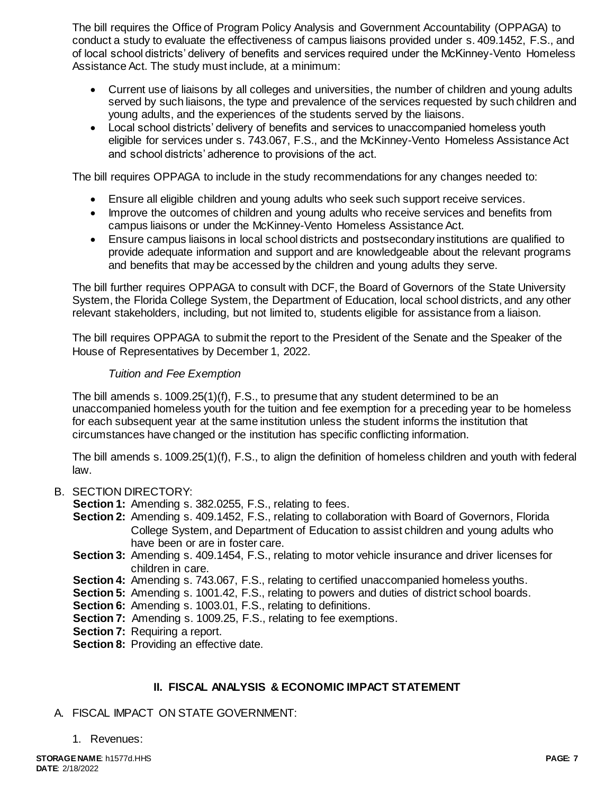The bill requires the Office of Program Policy Analysis and Government Accountability (OPPAGA) to conduct a study to evaluate the effectiveness of campus liaisons provided under s. 409.1452, F.S., and of local school districts' delivery of benefits and services required under the McKinney-Vento Homeless Assistance Act. The study must include, at a minimum:

- Current use of liaisons by all colleges and universities, the number of children and young adults served by such liaisons, the type and prevalence of the services requested by such children and young adults, and the experiences of the students served by the liaisons.
- Local school districts' delivery of benefits and services to unaccompanied homeless youth eligible for services under s. 743.067, F.S., and the McKinney-Vento Homeless Assistance Act and school districts' adherence to provisions of the act.

The bill requires OPPAGA to include in the study recommendations for any changes needed to:

- Ensure all eligible children and young adults who seek such support receive services.
- Improve the outcomes of children and young adults who receive services and benefits from campus liaisons or under the McKinney-Vento Homeless Assistance Act.
- Ensure campus liaisons in local school districts and postsecondary institutions are qualified to provide adequate information and support and are knowledgeable about the relevant programs and benefits that may be accessed by the children and young adults they serve.

The bill further requires OPPAGA to consult with DCF, the Board of Governors of the State University System, the Florida College System, the Department of Education, local school districts, and any other relevant stakeholders, including, but not limited to, students eligible for assistance from a liaison.

The bill requires OPPAGA to submit the report to the President of the Senate and the Speaker of the House of Representatives by December 1, 2022.

## *Tuition and Fee Exemption*

The bill amends s. 1009.25(1)(f), F.S., to presume that any student determined to be an unaccompanied homeless youth for the tuition and fee exemption for a preceding year to be homeless for each subsequent year at the same institution unless the student informs the institution that circumstances have changed or the institution has specific conflicting information.

The bill amends s. 1009.25(1)(f), F.S., to align the definition of homeless children and youth with federal law.

## B. SECTION DIRECTORY:

**Section 1:** Amending s. 382.0255, F.S., relating to fees.

- **Section 2:** Amending s. 409.1452, F.S., relating to collaboration with Board of Governors, Florida College System, and Department of Education to assist children and young adults who have been or are in foster care.
- **Section 3:** Amending s. 409.1454, F.S., relating to motor vehicle insurance and driver licenses for children in care.
- **Section 4:** Amending s. 743.067, F.S., relating to certified unaccompanied homeless youths.
- **Section 5:** Amending s. 1001.42, F.S., relating to powers and duties of district school boards.
- **Section 6:** Amending s. 1003.01, F.S., relating to definitions.
- **Section 7:** Amending s. 1009.25, F.S., relating to fee exemptions.
- **Section 7:** Requiring a report.

**Section 8: Providing an effective date.** 

## **II. FISCAL ANALYSIS & ECONOMIC IMPACT STATEMENT**

## A. FISCAL IMPACT ON STATE GOVERNMENT:

1. Revenues: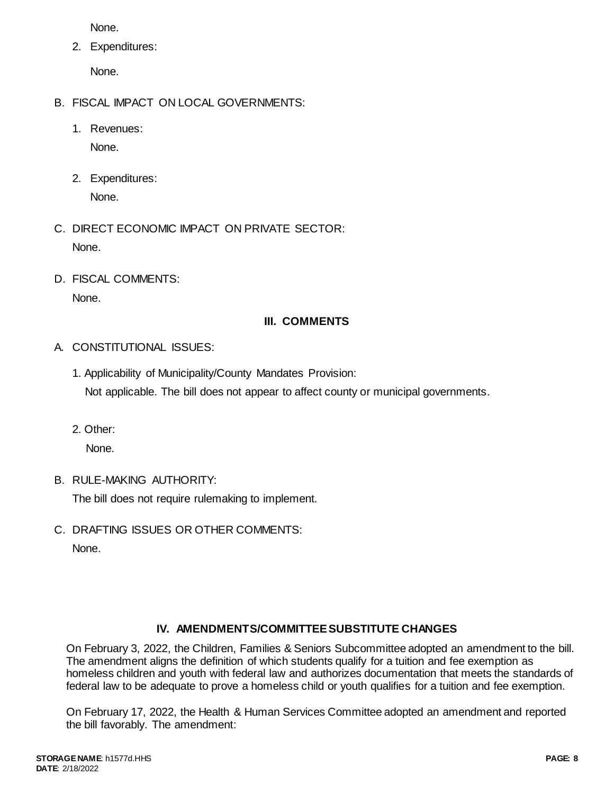None.

2. Expenditures:

None.

- B. FISCAL IMPACT ON LOCAL GOVERNMENTS:
	- 1. Revenues:

None.

- 2. Expenditures: None.
- C. DIRECT ECONOMIC IMPACT ON PRIVATE SECTOR: None.
- D. FISCAL COMMENTS: None.

## **III. COMMENTS**

- A. CONSTITUTIONAL ISSUES:
	- 1. Applicability of Municipality/County Mandates Provision: Not applicable. The bill does not appear to affect county or municipal governments.
	- 2. Other:

None.

B. RULE-MAKING AUTHORITY:

The bill does not require rulemaking to implement.

C. DRAFTING ISSUES OR OTHER COMMENTS: None.

# **IV. AMENDMENTS/COMMITTEE SUBSTITUTE CHANGES**

On February 3, 2022, the Children, Families & Seniors Subcommittee adopted an amendment to the bill. The amendment aligns the definition of which students qualify for a tuition and fee exemption as homeless children and youth with federal law and authorizes documentation that meets the standards of federal law to be adequate to prove a homeless child or youth qualifies for a tuition and fee exemption.

On February 17, 2022, the Health & Human Services Committee adopted an amendment and reported the bill favorably. The amendment: